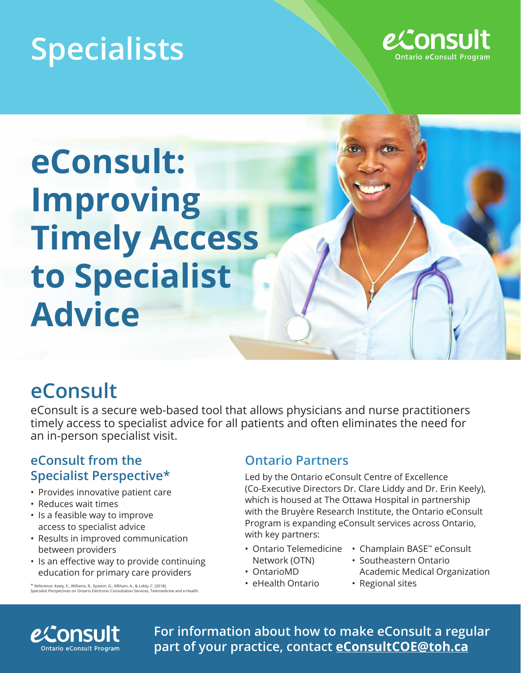# **Specialists**



**eConsult: Improving Timely Access to Specialist Advice**

## **eConsult**

eConsult is a secure web-based tool that allows physicians and nurse practitioners timely access to specialist advice for all patients and often eliminates the need for an in-person specialist visit.

#### **eConsult from the Specialist Perspective\***

- Provides innovative patient care
- Reduces wait times
- Is a feasible way to improve access to specialist advice
- Results in improved communication between providers
- Is an effective way to provide continuing education for primary care providers

\* Reference: Keely, E., Williams, R., Epstein, G., Afkham, A., & Liddy, C. (2018). alist Perspectives on Ontario Electronic Consultation Service

#### **Ontario Partners**

Led by the Ontario eConsult Centre of Excellence (Co-Executive Directors Dr. Clare Liddy and Dr. Erin Keely), which is housed at The Ottawa Hospital in partnership with the Bruyère Research Institute, the Ontario eConsult Program is expanding eConsult services across Ontario, with key partners:

- Network (OTN)
- OntarioMD
- eHealth Ontario
- Ontario Telemedicine Champlain BASE™ eConsult
	- Southeastern Ontario Academic Medical Organization
	- Regional sites



**For information about how to make eConsult a regular part of your practice, contact eConsultCOE@toh.ca**